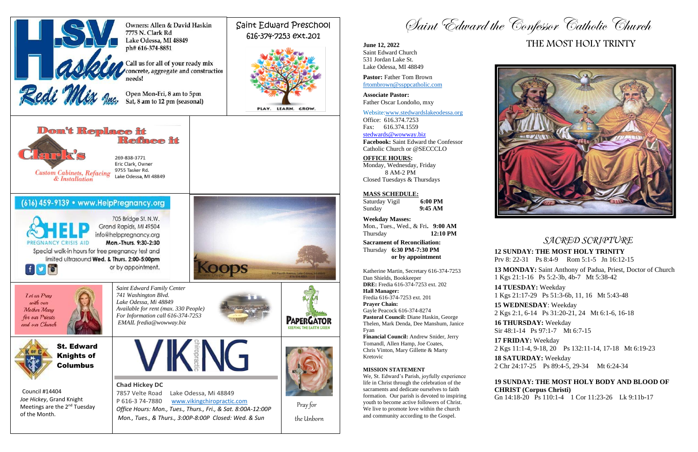*SACRED SCRIPTURE*

# **12 SUNDAY: THE MOST HOLY TRINITY**

Prv 8: 22-31 Ps 8:4-9 Rom 5:1-5 Jn 16:12-15

**13 MONDAY:** Saint Anthony of Padua, Priest, Doctor of Church 1 Kgs 21:1-16 Ps 5:2-3b, 4b-7 Mt 5:38-42

**14 TUESDAY:** Weekday 1 Kgs 21:17-29 Ps 51:3-6b, 11, 16 Mt 5:43-48 **15 WEDNESDAY**: Weekday 2 Kgs 2:1, 6-14 Ps 31:20-21, 24 Mt 6:1-6, 16-18 **16 THURSDAY:** Weekday Sir 48:1-14 Ps 97:1-7 Mt 6:7-15 **17 FRIDAY:** Weekday 2 Kgs 11:1-4, 9-18, 20 Ps 132:11-14, 17-18 Mt 6:19-23 **18 SATURDAY:** Weekday 2 Chr 24:17-25 Ps 89:4-5, 29-34 Mt 6:24-34

**19 SUNDAY: THE MOST HOLY BODY AND BLOOD OF CHRIST (Corpus Christi)**

Gn 14:18-20 Ps 110:1-4 1 Cor 11:23-26 Lk 9:11b-17







# THE MOST HOLY TRINTY